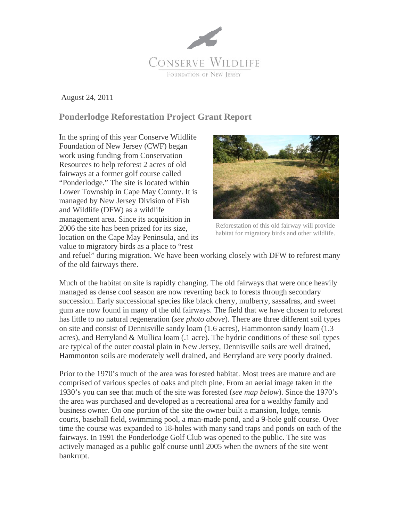

August 24, 2011

## **Ponderlodge Reforestation Project Grant Report**

In the spring of this year Conserve Wildlife Foundation of New Jersey (CWF) began work using funding from Conservation Resources to help reforest 2 acres of old fairways at a former golf course called "Ponderlodge." The site is located within Lower Township in Cape May County. It is managed by New Jersey Division of Fish and Wildlife (DFW) as a wildlife management area. Since its acquisition in 2006 the site has been prized for its size, location on the Cape May Peninsula, and its value to migratory birds as a place to "rest



Reforestation of this old fairway will provide habitat for migratory birds and other wildlife.

and refuel" during migration. We have been working closely with DFW to reforest many of the old fairways there.

Much of the habitat on site is rapidly changing. The old fairways that were once heavily managed as dense cool season are now reverting back to forests through secondary succession. Early successional species like black cherry, mulberry, sassafras, and sweet gum are now found in many of the old fairways. The field that we have chosen to reforest has little to no natural regeneration (*see photo above*). There are three different soil types on site and consist of Dennisville sandy loam (1.6 acres), Hammonton sandy loam (1.3 acres), and Berryland & Mullica loam (.1 acre). The hydric conditions of these soil types are typical of the outer coastal plain in New Jersey, Dennisville soils are well drained, Hammonton soils are moderately well drained, and Berryland are very poorly drained.

Prior to the 1970's much of the area was forested habitat. Most trees are mature and are comprised of various species of oaks and pitch pine. From an aerial image taken in the 1930's you can see that much of the site was forested (*see map below*). Since the 1970's the area was purchased and developed as a recreational area for a wealthy family and business owner. On one portion of the site the owner built a mansion, lodge, tennis courts, baseball field, swimming pool, a man-made pond, and a 9-hole golf course. Over time the course was expanded to 18-holes with many sand traps and ponds on each of the fairways. In 1991 the Ponderlodge Golf Club was opened to the public. The site was actively managed as a public golf course until 2005 when the owners of the site went bankrupt.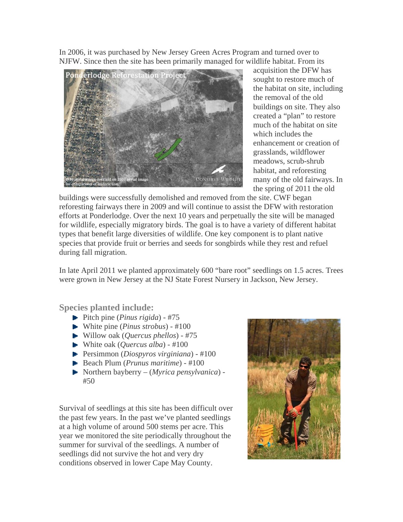In 2006, it was purchased by New Jersey Green Acres Program and turned over to NJFW. Since then the site has been primarily managed for wildlife habitat. From its



acquisition the DFW has sought to restore much of the habitat on site, including the removal of the old buildings on site. They also created a "plan" to restore much of the habitat on site which includes the enhancement or creation of grasslands, wildflower meadows, scrub-shrub habitat, and reforesting many of the old fairways. In the spring of 2011 the old

buildings were successfully demolished and removed from the site. CWF began reforesting fairways there in 2009 and will continue to assist the DFW with restoration efforts at Ponderlodge. Over the next 10 years and perpetually the site will be managed for wildlife, especially migratory birds. The goal is to have a variety of different habitat types that benefit large diversities of wildlife. One key component is to plant native species that provide fruit or berries and seeds for songbirds while they rest and refuel during fall migration.

In late April 2011 we planted approximately 600 "bare root" seedlings on 1.5 acres. Trees were grown in New Jersey at the NJ State Forest Nursery in Jackson, New Jersey.

**Species planted include:** 

- Pitch pine (*Pinus rigida*) #75
- White pine (*Pinus strobus*) #100
- Willow oak (*Quercus phellos*) #75
- White oak (*Quercus alba*) #100
- Persimmon (*Diospyros virginiana*) #100
- Beach Plum (*Prunus maritime*) #100
- Northern bayberry (*Myrica pensylvanica*) #50

Survival of seedlings at this site has been difficult over the past few years. In the past we've planted seedlings at a high volume of around 500 stems per acre. This year we monitored the site periodically throughout the summer for survival of the seedlings. A number of seedlings did not survive the hot and very dry conditions observed in lower Cape May County.